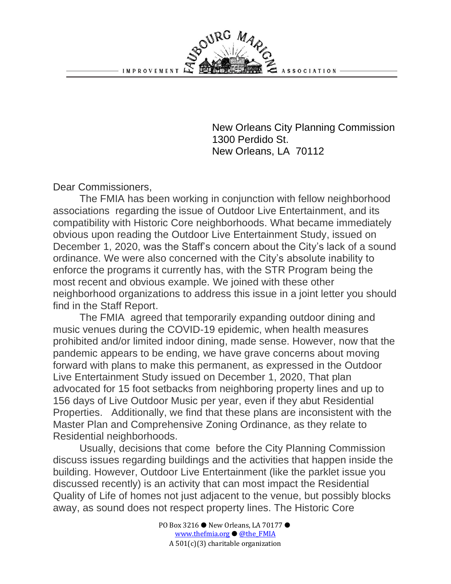New Orleans City Planning Commission 1300 Perdido St. New Orleans, LA 70112

**ASSOCIATION** 

Dear Commissioners,

The FMIA has been working in conjunction with fellow neighborhood associations regarding the issue of Outdoor Live Entertainment, and its compatibility with Historic Core neighborhoods. What became immediately obvious upon reading the Outdoor Live Entertainment Study, issued on December 1, 2020, was the Staff's concern about the City's lack of a sound ordinance. We were also concerned with the City's absolute inability to enforce the programs it currently has, with the STR Program being the most recent and obvious example. We joined with these other neighborhood organizations to address this issue in a joint letter you should find in the Staff Report.

URG MA

The FMIA agreed that temporarily expanding outdoor dining and music venues during the COVID-19 epidemic, when health measures prohibited and/or limited indoor dining, made sense. However, now that the pandemic appears to be ending, we have grave concerns about moving forward with plans to make this permanent, as expressed in the Outdoor Live Entertainment Study issued on December 1, 2020, That plan advocated for 15 foot setbacks from neighboring property lines and up to 156 days of Live Outdoor Music per year, even if they abut Residential Properties. Additionally, we find that these plans are inconsistent with the Master Plan and Comprehensive Zoning Ordinance, as they relate to Residential neighborhoods.

Usually, decisions that come before the City Planning Commission discuss issues regarding buildings and the activities that happen inside the building. However, Outdoor Live Entertainment (like the parklet issue you discussed recently) is an activity that can most impact the Residential Quality of Life of homes not just adjacent to the venue, but possibly blocks away, as sound does not respect property lines. The Historic Core

> PO Box 3216 ● New Orleans, LA 70177 ● [www.thefmia.org](https://fmia11.wildapricot.org/) ● [@the\\_FMIA](https://www.facebook.com/theFMIA) A 501(c)(3) charitable organization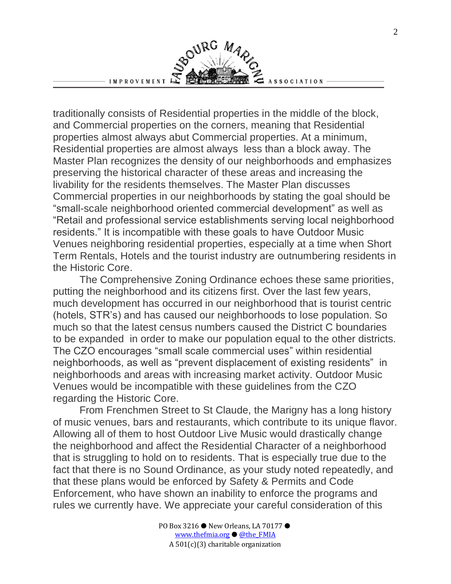IMPROVEMENT

BOURG MAR ASSOCIATION

traditionally consists of Residential properties in the middle of the block, and Commercial properties on the corners, meaning that Residential properties almost always abut Commercial properties. At a minimum, Residential properties are almost always less than a block away. The Master Plan recognizes the density of our neighborhoods and emphasizes preserving the historical character of these areas and increasing the livability for the residents themselves. The Master Plan discusses Commercial properties in our neighborhoods by stating the goal should be "small-scale neighborhood oriented commercial development" as well as "Retail and professional service establishments serving local neighborhood residents." It is incompatible with these goals to have Outdoor Music Venues neighboring residential properties, especially at a time when Short Term Rentals, Hotels and the tourist industry are outnumbering residents in the Historic Core.

The Comprehensive Zoning Ordinance echoes these same priorities, putting the neighborhood and its citizens first. Over the last few years, much development has occurred in our neighborhood that is tourist centric (hotels, STR's) and has caused our neighborhoods to lose population. So much so that the latest census numbers caused the District C boundaries to be expanded in order to make our population equal to the other districts. The CZO encourages "small scale commercial uses" within residential neighborhoods, as well as "prevent displacement of existing residents" in neighborhoods and areas with increasing market activity. Outdoor Music Venues would be incompatible with these guidelines from the CZO regarding the Historic Core.

From Frenchmen Street to St Claude, the Marigny has a long history of music venues, bars and restaurants, which contribute to its unique flavor. Allowing all of them to host Outdoor Live Music would drastically change the neighborhood and affect the Residential Character of a neighborhood that is struggling to hold on to residents. That is especially true due to the fact that there is no Sound Ordinance, as your study noted repeatedly, and that these plans would be enforced by Safety & Permits and Code Enforcement, who have shown an inability to enforce the programs and rules we currently have. We appreciate your careful consideration of this

> PO Box 3216 ● New Orleans, LA 70177 ● [www.thefmia.org](https://fmia11.wildapricot.org/) ● [@the\\_FMIA](https://www.facebook.com/theFMIA) A 501(c)(3) charitable organization